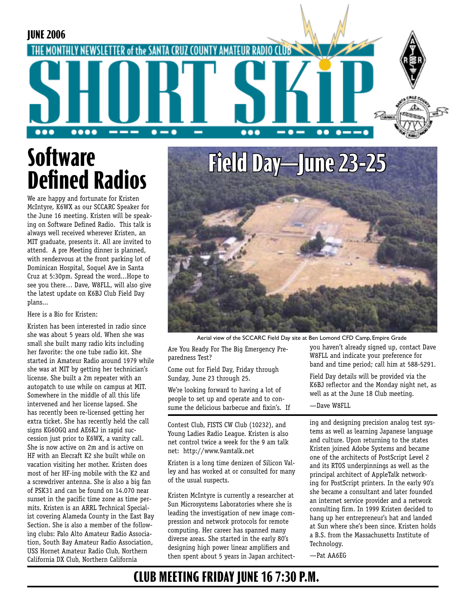#### **JUNE 2006** HE MONTHLY NEWSLETTER of the SANTA CRUZ COUNTY AMATEUR RADIO  $\bullet-\bullet$  $\bullet\bullet\bullet\bullet$ --- $\bullet$   $\bullet\bullet$  $\bullet$   $\bullet$ -...

# **Software Defined Radios**

We are happy and fortunate for Kristen McIntyre, K6WX as our SCCARC Speaker for the June 16 meeting. Kristen will be speaking on Software Defined Radio. This talk is always well received wherever Kristen, an MIT graduate, presents it. All are invited to attend. A pre Meeting dinner is planned, with rendezvous at the front parking lot of Dominican Hospital, Soquel Ave in Santa Cruz at 5:30pm. Spread the word...Hope to see you there… Dave, W8FLL, will also give the latest update on K6BJ Club Field Day plans...

#### Here is a Bio for Kristen:

Kristen has been interested in radio since she was about 5 years old. When she was small she built many radio kits including her favorite: the one tube radio kit. She started in Amateur Radio around 1979 while she was at MIT by getting her technician's license. She built a 2m repeater with an autopatch to use while on campus at MIT. Somewhere in the middle of all this life intervened and her license lapsed. She has recently been re-licensed getting her extra ticket. She has recently held the call signs KG6OGQ and AE6KJ in rapid succession just prior to K6WX, a vanity call. She is now active on 2m and is active on HF with an Elecraft K2 she built while on vacation visiting her mother. Kristen does most of her HF-ing mobile with the K2 and a screwdriver antenna. She is also a big fan of PSK31 and can be found on 14.070 near sunset in the pacific time zone as time permits. Kristen is an ARRL Technical Specialist covering Alameda County in the East Bay Section. She is also a member of the following clubs: Palo Alto Amateur Radio Association, South Bay Amateur Radio Association, USS Hornet Amateur Radio Club, Northern California DX Club, Northern California



Aerial view of the SCCARC Field Day site at Ben Lomond CFD Camp, Empire Grade

Are You Ready For The Big Emergency Preparedness Test?

Come out for Field Day, Friday through Sunday, June 23 through 25.

We're looking forward to having a lot of people to set up and operate and to consume the delicious barbecue and fixin's. If

Contest Club, FISTS CW Club (10232), and Young Ladies Radio League. Kristen is also net control twice a week for the 9 am talk net: http://www.9amtalk.net

Kristen is a long time denizen of Silicon Valley and has worked at or consulted for many of the usual suspects.

Kristen McIntyre is currently a researcher at Sun Microsystems Laboratories where she is leading the investigation of new image compression and network protocols for remote computing. Her career has spanned many diverse areas. She started in the early 80's designing high power linear amplifiers and then spent about 5 years in Japan architectyou haven't already signed up, contact Dave W8FLL and indicate your preference for band and time period; call him at 588-5291.

Field Day details will be provided via the K6BJ reflector and the Monday night net, as well as at the June 18 Club meeting.

#### —Dave W8FLL

ing and designing precision analog test systems as well as learning Japanese language and culture. Upon returning to the states Kristen joined Adobe Systems and became one of the architects of PostScript Level 2 and its RTOS underpinnings as well as the principal architect of AppleTalk networking for PostScript printers. In the early 90's she became a consultant and later founded an internet service provider and a network consulting firm. In 1999 Kristen decided to hang up her entrepreneur's hat and landed at Sun where she's been since. Kristen holds a B.S. from the Massachusetts Institute of Technology.

—Pat AA6EG

### **CLUB MEETING FRIDAY JUNE 16 7:30 P.M.**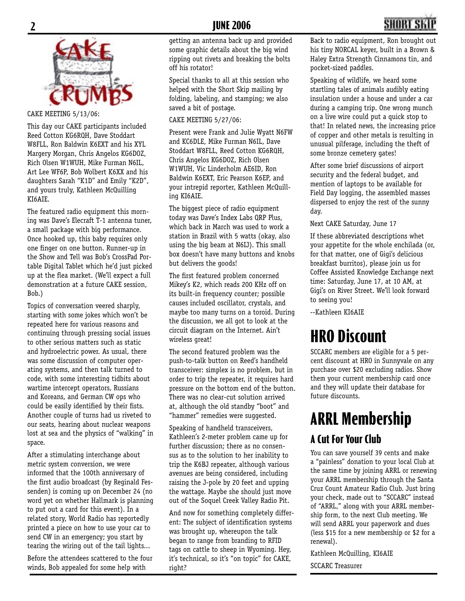

#### CAKE MEETING 5/13/06:

This day our CAKE participants included Reed Cotton KG6RQH, Dave Stoddart W8FLL, Ron Baldwin K6EXT and his XYL Margery Morgan, Chris Angelos KG6DOZ, Rich Olsen W1WUH, Mike Furman N6IL, Art Lee WF6P, Bob Wolbert K6XX and his daughters Sarah "K1D" and Emily "K2D", and yours truly, Kathleen McQuilling KI6AIE.

The featured radio equipment this morning was Dave's Elecraft T-1 antenna tuner, a small package with big performance. Once hooked up, this baby requires only one finger on one button. Runner-up in the Show and Tell was Bob's CrossPad Portable Digital Tablet which he'd just picked up at the flea market. (We'll expect a full demonstration at a future CAKE session, Bob.)

Topics of conversation veered sharply, starting with some jokes which won't be repeated here for various reasons and continuing through pressing social issues to other serious matters such as static and hydroelectric power. As usual, there was some discussion of computer operating systems, and then talk turned to code, with some interesting tidbits about wartime intercept operators, Russians and Koreans, and German CW ops who could be easily identified by their fists. Another couple of turns had us riveted to our seats, hearing about nuclear weapons lost at sea and the physics of "walking" in space.

After a stimulating interchange about metric system conversion, we were informed that the 100th anniversary of the first audio broadcast (by Reginald Fessenden) is coming up on December 24 (no word yet on whether Hallmark is planning to put out a card for this event). In a related story, World Radio has reportedly printed a piece on how to use your car to send CW in an emergency; you start by tearing the wiring out of the tail lights...

Before the attendees scattered to the four winds, Bob appealed for some help with

getting an antenna back up and provided some graphic details about the big wind ripping out rivets and breaking the bolts off his rotator!

Special thanks to all at this session who helped with the Short Skip mailing by folding, labeling, and stamping; we also saved a bit of postage.

CAKE MEETING 5/27/06:

Present were Frank and Julie Wyatt N6FW and KC6DLE, Mike Furman N6IL, Dave Stoddart W8FLL, Reed Cotton KG6RQH, Chris Angelos KG6DOZ, Rich Olsen W1WUH, Vic Linderholm AE6ID, Ron Baldwin K6EXT, Eric Pearson K6EP, and your intrepid reporter, Kathleen McQuilling KI6AIE.

The biggest piece of radio equipment today was Dave's Index Labs QRP Plus, which back in March was used to work a station in Brazil with 5 watts (okay, also using the big beam at N6IJ). This small box doesn't have many buttons and knobs but delivers the goods!

The first featured problem concerned Mikey's K2, which reads 200 KHz off on its built-in frequency counter; possible causes included oscillator, crystals, and maybe too many turns on a toroid. During the discussion, we all got to look at the circuit diagram on the Internet. Ain't wireless great!

The second featured problem was the push-to-talk button on Reed's handheld transceiver: simplex is no problem, but in order to trip the repeater, it requires hard pressure on the bottom end of the button. There was no clear-cut solution arrived at, although the old standby "boot" and "hammer" remedies were suggested.

Speaking of handheld transceivers, Kathleen's 2-meter problem came up for further discussion; there as no consensus as to the solution to her inability to trip the K6BJ repeater, although various avenues are being considered, including raising the J-pole by 20 feet and upping the wattage. Maybe she should just move out of the Soquel Creek Valley Radio Pit.

And now for something completely different: The subject of identification systems was brought up, whereupon the talk began to range from branding to RFID tags on cattle to sheep in Wyoming. Hey, it's technical, so it's "on topic" for CAKE, right?

Back to radio equipment, Ron brought out his tiny NORCAL keyer, built in a Brown & Haley Extra Strength Cinnamons tin, and pocket-sized paddles.

Speaking of wildlife, we heard some startling tales of animals audibly eating insulation under a house and under a car during a camping trip. One wrong munch on a live wire could put a quick stop to that! In related news, the increasing price of copper and other metals is resulting in unusual pilferage, including the theft of some bronze cemetery gates!

After some brief discussions of airport security and the federal budget, and mention of laptops to be available for Field Day logging, the assembled masses dispersed to enjoy the rest of the sunny day.

Next CAKE Saturday, June 17

If these abbreviated descriptions whet your appetite for the whole enchilada (or, for that matter, one of Gigi's delicious breakfast burritos), please join us for Coffee Assisted Knowledge Exchange next time: Saturday, June 17, at 10 AM, at Gigi's on River Street. We'll look forward to seeing you!

--Kathleen KI6AIE

## **HRO Discount**

SCCARC members are eligible for a 5 percent discount at HRO in Sunnyvale on any purchase over \$20 excluding radios. Show them your current membership card once and they will update their database for future discounts.

## **ARRL Membership**

#### **A Cut For Your Club**

You can save yourself 39 cents and make a "painless" donation to your local Club at the same time by joining ARRL or renewing your ARRL membership through the Santa Cruz Count Amateur Radio Club. Just bring your check, made out to "SCCARC" instead of "ARRL," along with your ARRL membership form, to the next Club meeting. We will send ARRL your paperwork and dues (less \$15 for a new membership or \$2 for a renewal).

Kathleen McQuilling, KI6AIE

SCCARC Treasurer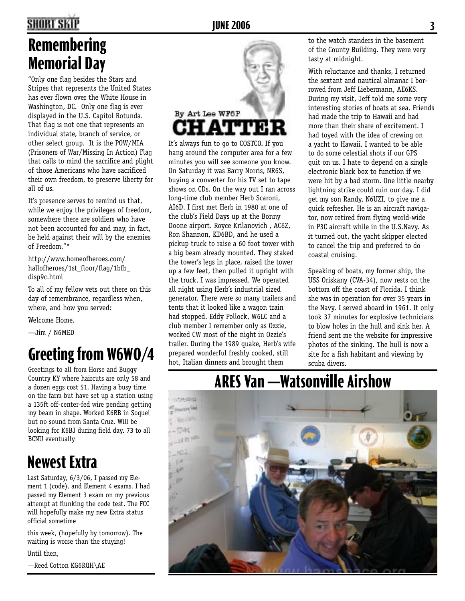### **2 JUNE 2006 3**

### **Remembering Memorial Day**

"Only one flag besides the Stars and Stripes that represents the United States has ever flown over the White House in Washington, DC. Only one flag is ever displayed in the U.S. Capitol Rotunda. That flag is not one that represents an individual state, branch of service, or other select group. It is the POW/MIA (Prisoners of War/Missing In Action) Flag that calls to mind the sacrifice and plight of those Americans who have sacrificed their own freedom, to preserve liberty for all of us.

It's presence serves to remind us that, while we enjoy the privileges of freedom, somewhere there are soldiers who have not been accounted for and may, in fact, be held against their will by the enemies of Freedom."\*

http://www.homeofheroes.com/ hallofheroes/1st\_floor/flag/1bfb\_ disp9c.html

To all of my fellow vets out there on this day of remembrance, regardless when, where, and how you served:

Welcome Home.

—Jim / N6MED

## **Greeting from W6WO/4**

Greetings to all from Horse and Buggy Country KY where haircuts are only \$8 and a dozen eggs cost \$1. Having a busy time on the farm but have set up a station using a 135ft off-center-fed wire pending getting my beam in shape. Worked K6RB in Soquel but no sound from Santa Cruz. Will be looking for K6BJ during field day. 73 to all BCNU eventually

## **Newest Extra**

Last Saturday, 6/3/06, I passed my Element 1 (code), and Element 4 exams. I had passed my Element 3 exam on my previous attempt at flunking the code test. The FCC will hopefully make my new Extra status official sometime

this week, (hopefully by tomorrow). The waiting is worse than the stuying!

Until then,

—Reed Cotton KG6RQH\AE



It's always fun to go to COSTCO. If you hang around the computer area for a few minutes you will see someone you know. On Saturday it was Barry Norris, NR6S, buying a converter for his TV set to tape shows on CDs. On the way out I ran across long-time club member Herb Scaroni, AI6D. I first met Herb in 1980 at one of the club's Field Days up at the Bonny Doone airport. Royce Krilanovich , AC6Z, Ron Shannon, KD6BD, and he used a pickup truck to raise a 60 foot tower with a big beam already mounted. They staked the tower's legs in place, raised the tower up a few feet, then pulled it upright with the truck. I was impressed. We operated all night using Herb's industrial sized generator. There were so many trailers and tents that it looked like a wagon train had stopped. Eddy Pollock, W6LC and a club member I remember only as Ozzie, worked CW most of the night in Ozzie's trailer. During the 1989 quake, Herb's wife prepared wonderful freshly cooked, still hot, Italian dinners and brought them

to the watch standers in the basement of the County Building. They were very tasty at midnight.

With reluctance and thanks, I returned the sextant and nautical almanac I borrowed from Jeff Liebermann, AE6KS. During my visit, Jeff told me some very interesting stories of boats at sea. Friends had made the trip to Hawaii and had more than their share of excitement. I had toyed with the idea of crewing on a yacht to Hawaii. I wanted to be able to do some celestial shots if our GPS quit on us. I hate to depend on a single electronic black box to function if we were hit by a bad storm. One little nearby lightning strike could ruin our day. I did get my son Randy, N6UZI, to give me a quick refresher. He is an aircraft navigator, now retired from flying world-wide in P3C aircraft while in the U.S.Navy. As it turned out, the yacht skipper elected to cancel the trip and preferred to do coastal cruising.

Speaking of boats, my former ship, the USS Oriskany (CVA-34), now rests on the bottom off the coast of Florida. I think she was in operation for over 35 years in the Navy. I served aboard in 1961. It only took 37 minutes for explosive technicians to blow holes in the hull and sink her. A friend sent me the website for impressive photos of the sinking. The hull is now a site for a fish habitant and viewing by scuba divers.

### **ARES Van —Watsonville Airshow**